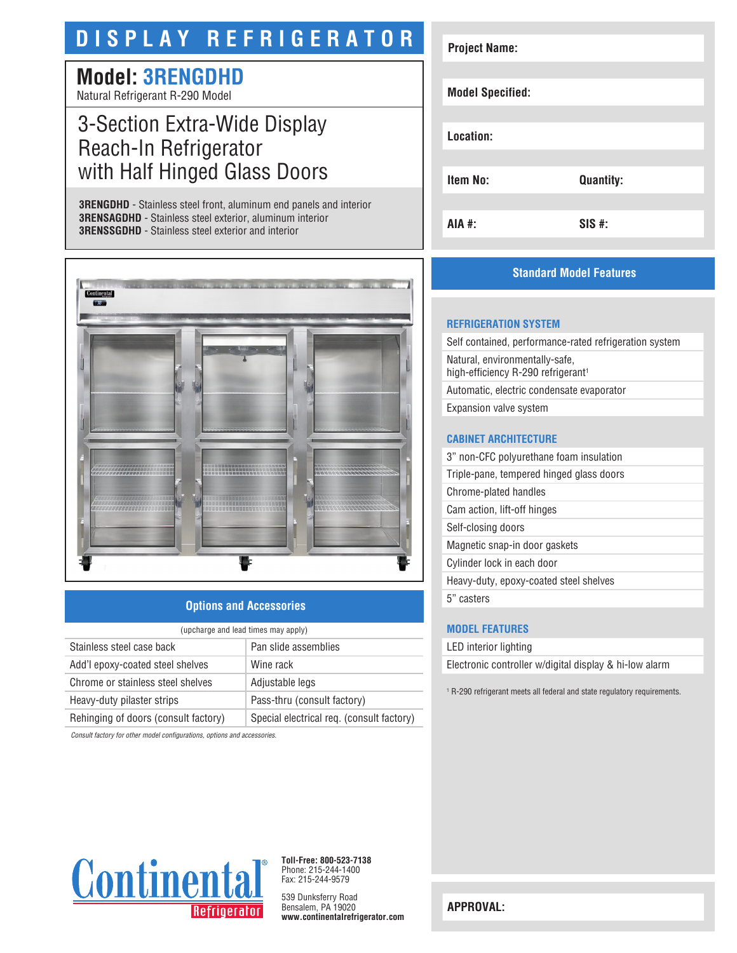# **DISPLAY REFRIGERATOR**

# **Model: 3RENGDHD**

Natural Refrigerant R-290 Model

# 3-Section Extra-Wide Display Reach-In Refrigerator with Half Hinged Glass Doors

**3RENGDHD** - Stainless steel front, aluminum end panels and interior **3RENSAGDHD** - Stainless steel exterior, aluminum interior **3RENSSGDHD** - Stainless steel exterior and interior



### **Options and Accessories**

| (upcharge and lead times may apply)  |                                           |  |
|--------------------------------------|-------------------------------------------|--|
| Stainless steel case back            | Pan slide assemblies                      |  |
| Add'l epoxy-coated steel shelves     | Wine rack                                 |  |
| Chrome or stainless steel shelves    | Adjustable legs                           |  |
| Heavy-duty pilaster strips           | Pass-thru (consult factory)               |  |
| Rehinging of doors (consult factory) | Special electrical req. (consult factory) |  |

*Consult factory for other model configurations, options and accessories.*

| <b>Project Name:</b>    |                  |  |
|-------------------------|------------------|--|
| <b>Model Specified:</b> |                  |  |
| Location:               |                  |  |
| <b>Item No:</b>         | <b>Quantity:</b> |  |
| <b>AIA #:</b>           | $SIS$ #:         |  |

## **Standard Model Features**

#### **REFRIGERATION SYSTEM**

Self contained, performance-rated refrigeration system Natural, environmentally-safe, high-efficiency R-290 refrigerant<sup>1</sup> Automatic, electric condensate evaporator Expansion valve system

#### **CABINET ARCHITECTURE**

| 3" non-CFC polyurethane foam insulation  |
|------------------------------------------|
| Triple-pane, tempered hinged glass doors |
| Chrome-plated handles                    |
| Cam action, lift-off hinges              |
| Self-closing doors                       |
| Magnetic snap-in door gaskets            |
| Cylinder lock in each door               |
| Heavy-duty, epoxy-coated steel shelves   |
| 5" casters                               |
|                                          |

#### **MODEL FEATURES**

LED interior lighting

Electronic controller w/digital display & hi-low alarm

1 R-290 refrigerant meets all federal and state regulatory requirements.



**Toll-Free: 800-523-7138** Phone: 215-244-1400 Fax: 215-244-9579

539 Dunksferry Road Bensalem, PA 19020 **www.continentalrefrigerator.com** 

**APPROVAL:**